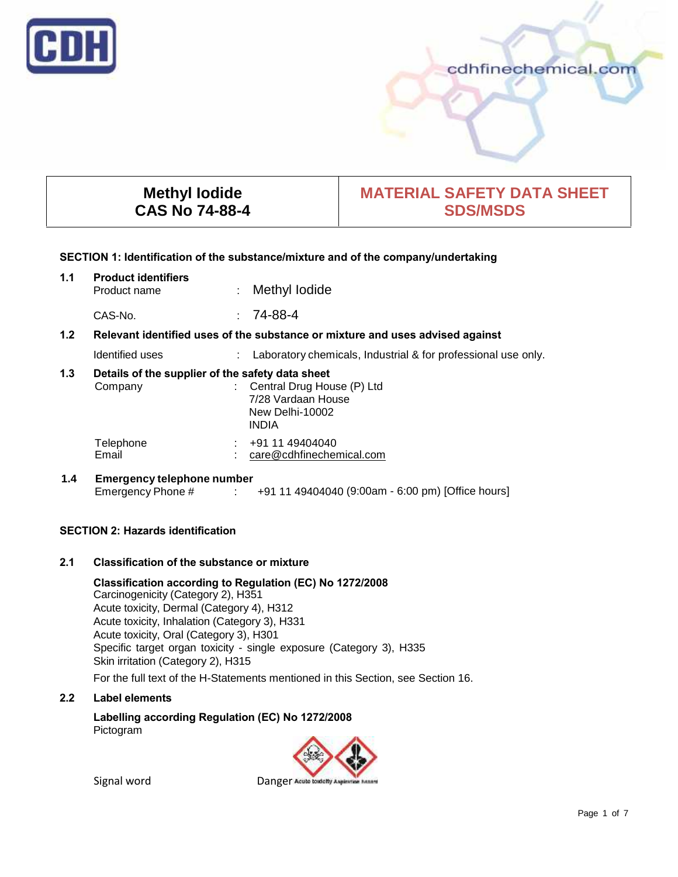

## cdhfinechemical.com

## **Methyl Iodide CAS No 74-88-4**

# **MATERIAL SAFETY DATA SHEET SDS/MSDS**

#### **SECTION 1: Identification of the substance/mixture and of the company/undertaking**

| 1.1 | <b>Product identifiers</b><br>Product name                                    | ÷ | Methyl lodide                                                                  |
|-----|-------------------------------------------------------------------------------|---|--------------------------------------------------------------------------------|
|     | CAS-No.                                                                       |   | $: 74-88-4$                                                                    |
| 1.2 | Relevant identified uses of the substance or mixture and uses advised against |   |                                                                                |
|     | Identified uses                                                               |   | Laboratory chemicals, Industrial & for professional use only.                  |
| 1.3 | Details of the supplier of the safety data sheet<br>Company                   |   | : Central Drug House (P) Ltd<br>7/28 Vardaan House<br>New Delhi-10002<br>INDIA |
|     | Telephone<br>Email                                                            |   | $\div$ +91 11 49404040<br>care@cdhfinechemical.com                             |
| 1.4 | <b>Emergency telephone number</b>                                             |   | Emergency Phone # : +91 11 49404040 (9:00am - 6:00 pm) [Office hours]          |

## **SECTION 2: Hazards identification**

#### **2.1 Classification of the substance or mixture**

**Classification according to Regulation (EC) No 1272/2008** Carcinogenicity (Category 2), H351 Acute toxicity, Dermal (Category 4), H312 Acute toxicity, Inhalation (Category 3), H331 Acute toxicity, Oral (Category 3), H301 Specific target organ toxicity - single exposure (Category 3), H335 Skin irritation (Category 2), H315 For the full text of the H-Statements mentioned in this Section, see Section 16.

## **2.2 Label elements**

**Labelling according Regulation (EC) No 1272/2008** Pictogram



Signal word Danger Acute is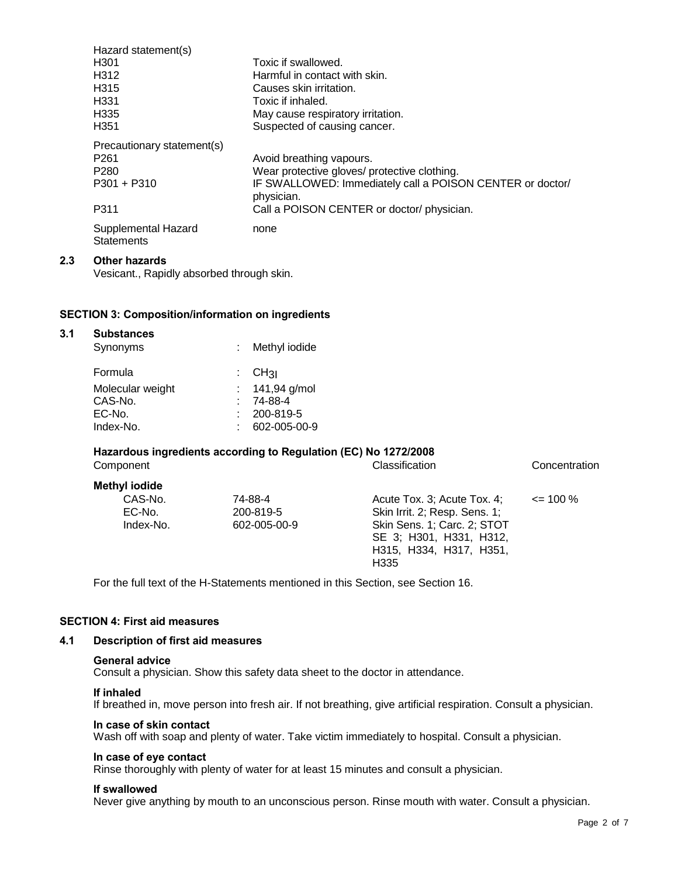| Hazard statement(s)                      |                                                                         |
|------------------------------------------|-------------------------------------------------------------------------|
| H <sub>301</sub>                         | Toxic if swallowed.                                                     |
| H312                                     | Harmful in contact with skin.                                           |
| H <sub>315</sub>                         | Causes skin irritation.                                                 |
| H <sub>331</sub>                         | Toxic if inhaled.                                                       |
| H <sub>335</sub>                         | May cause respiratory irritation.                                       |
| H <sub>351</sub>                         | Suspected of causing cancer.                                            |
| Precautionary statement(s)               |                                                                         |
| P <sub>261</sub>                         | Avoid breathing vapours.                                                |
| P <sub>280</sub>                         | Wear protective gloves/ protective clothing.                            |
| $P301 + P310$                            | IF SWALLOWED: Immediately call a POISON CENTER or doctor/<br>physician. |
| P311                                     | Call a POISON CENTER or doctor/ physician.                              |
| Supplemental Hazard<br><b>Statements</b> | none                                                                    |

#### **2.3 Other hazards**

Vesicant., Rapidly absorbed through skin.

#### **SECTION 3: Composition/information on ingredients**

| 3.1 | <b>Substances</b><br>Synonyms | Methyl iodide                  |  |
|-----|-------------------------------|--------------------------------|--|
|     | Formula                       | $\mathcal{L}$ CH <sub>3I</sub> |  |
|     | Molecular weight              | : $141,94$ g/mol               |  |
|     | CAS-No.                       | $: 74-88-4$                    |  |
|     | EC-No.                        | 200-819-5                      |  |
|     | Index-No.                     | 602-005-00-9                   |  |

#### **Hazardous ingredients according to Regulation (EC) No 1272/2008**

| Component                      |                                      | Classification                                                                                                                                            | Concentration |
|--------------------------------|--------------------------------------|-----------------------------------------------------------------------------------------------------------------------------------------------------------|---------------|
| <b>Methyl iodide</b>           |                                      |                                                                                                                                                           |               |
| CAS-No.<br>EC-No.<br>Index-No. | 74-88-4<br>200-819-5<br>602-005-00-9 | Acute Tox. 3: Acute Tox. 4:<br>Skin Irrit. 2; Resp. Sens. 1;<br>Skin Sens. 1; Carc. 2; STOT<br>SE 3; H301, H331, H312,<br>H315, H334, H317, H351,<br>H335 | $\leq$ 100 %  |

For the full text of the H-Statements mentioned in this Section, see Section 16.

### **SECTION 4: First aid measures**

### **4.1 Description of first aid measures**

#### **General advice**

Consult a physician. Show this safety data sheet to the doctor in attendance.

#### **If inhaled**

If breathed in, move person into fresh air. If not breathing, give artificial respiration. Consult a physician.

#### **In case of skin contact**

Wash off with soap and plenty of water. Take victim immediately to hospital. Consult a physician.

#### **In case of eye contact**

Rinse thoroughly with plenty of water for at least 15 minutes and consult a physician.

#### **If swallowed**

Never give anything by mouth to an unconscious person. Rinse mouth with water. Consult a physician.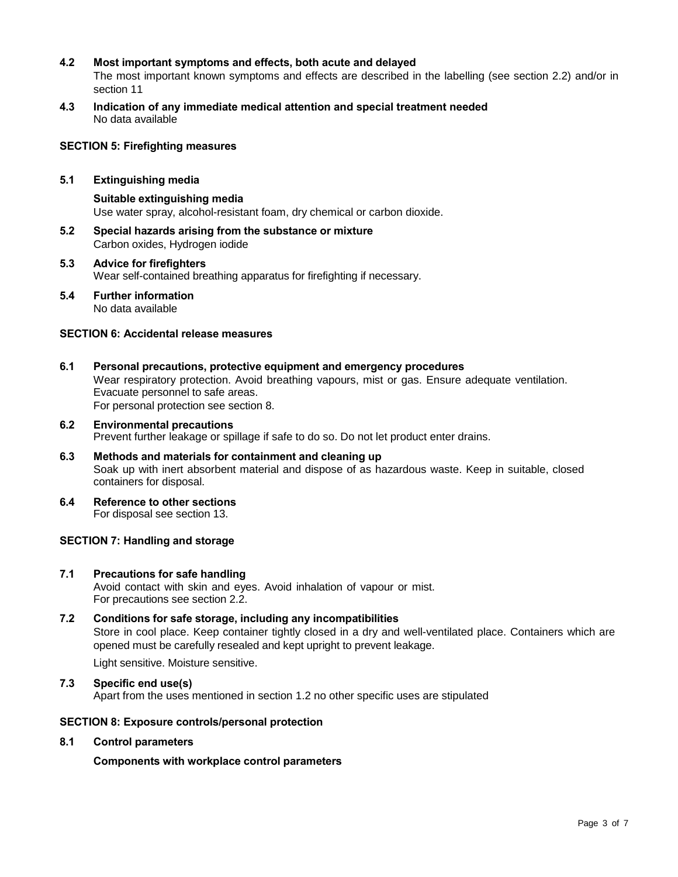## **4.2 Most important symptoms and effects, both acute and delayed**

The most important known symptoms and effects are described in the labelling (see section 2.2) and/or in section 11

**4.3 Indication of any immediate medical attention and special treatment needed** No data available

#### **SECTION 5: Firefighting measures**

#### **5.1 Extinguishing media**

**Suitable extinguishing media** Use water spray, alcohol-resistant foam, dry chemical or carbon dioxide.

- **5.2 Special hazards arising from the substance or mixture** Carbon oxides, Hydrogen iodide
- **5.3 Advice for firefighters** Wear self-contained breathing apparatus for firefighting if necessary.
- **5.4 Further information** No data available

#### **SECTION 6: Accidental release measures**

- **6.1 Personal precautions, protective equipment and emergency procedures** Wear respiratory protection. Avoid breathing vapours, mist or gas. Ensure adequate ventilation. Evacuate personnel to safe areas. For personal protection see section 8.
- **6.2 Environmental precautions** Prevent further leakage or spillage if safe to do so. Do not let product enter drains.
- **6.3 Methods and materials for containment and cleaning up** Soak up with inert absorbent material and dispose of as hazardous waste. Keep in suitable, closed containers for disposal.
- **6.4 Reference to other sections** For disposal see section 13.

#### **SECTION 7: Handling and storage**

**7.1 Precautions for safe handling**

Avoid contact with skin and eyes. Avoid inhalation of vapour or mist. For precautions see section 2.2.

**7.2 Conditions for safe storage, including any incompatibilities** Store in cool place. Keep container tightly closed in a dry and well-ventilated place. Containers which are opened must be carefully resealed and kept upright to prevent leakage.

Light sensitive. Moisture sensitive.

**7.3 Specific end use(s)** Apart from the uses mentioned in section 1.2 no other specific uses are stipulated

#### **SECTION 8: Exposure controls/personal protection**

#### **8.1 Control parameters**

**Components with workplace control parameters**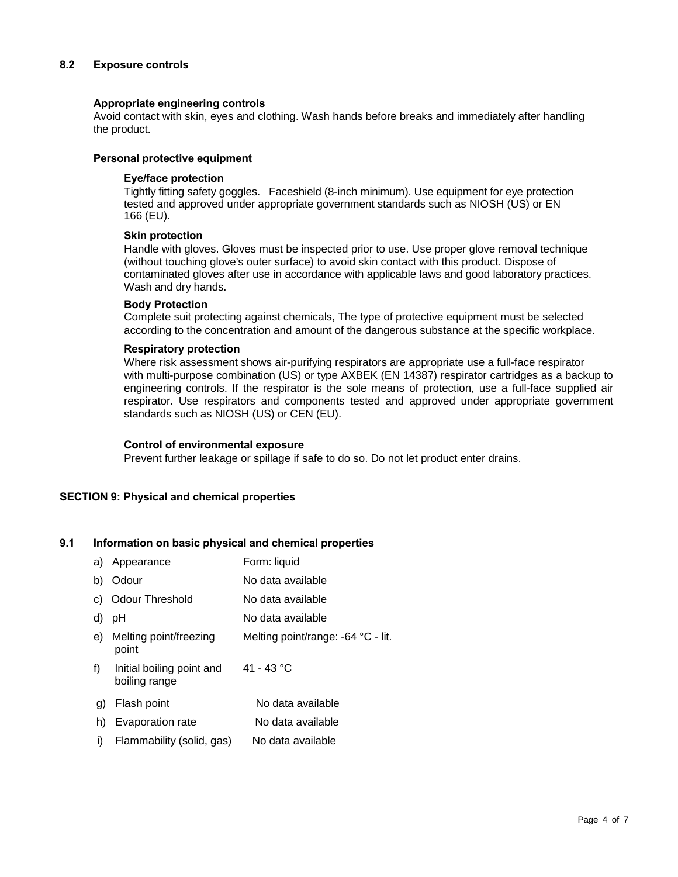### **8.2 Exposure controls**

#### **Appropriate engineering controls**

Avoid contact with skin, eyes and clothing. Wash hands before breaks and immediately after handling the product.

#### **Personal protective equipment**

#### **Eye/face protection**

Tightly fitting safety goggles. Faceshield (8-inch minimum). Use equipment for eye protection tested and approved under appropriate government standards such as NIOSH (US) or EN 166 (EU).

#### **Skin protection**

Handle with gloves. Gloves must be inspected prior to use. Use proper glove removal technique (without touching glove's outer surface) to avoid skin contact with this product. Dispose of contaminated gloves after use in accordance with applicable laws and good laboratory practices. Wash and dry hands.

#### **Body Protection**

Complete suit protecting against chemicals, The type of protective equipment must be selected according to the concentration and amount of the dangerous substance at the specific workplace.

#### **Respiratory protection**

Where risk assessment shows air-purifying respirators are appropriate use a full-face respirator with multi-purpose combination (US) or type AXBEK (EN 14387) respirator cartridges as a backup to engineering controls. If the respirator is the sole means of protection, use a full-face supplied air respirator. Use respirators and components tested and approved under appropriate government standards such as NIOSH (US) or CEN (EU).

#### **Control of environmental exposure**

Prevent further leakage or spillage if safe to do so. Do not let product enter drains.

#### **SECTION 9: Physical and chemical properties**

## **9.1 Information on basic physical and chemical properties**

| a) | Appearance                                 | Form: liquid                       |
|----|--------------------------------------------|------------------------------------|
| b) | Odour                                      | No data available                  |
| C) | <b>Odour Threshold</b>                     | No data available                  |
| d) | рH                                         | No data available                  |
| e) | Melting point/freezing<br>point            | Melting point/range: -64 °C - lit. |
| f) | Initial boiling point and<br>boiling range | 41 - 43 °C                         |
| g) | Flash point                                | No data available                  |
| h) | Evaporation rate                           | No data available                  |
| i) | Flammability (solid, gas)                  | No data available                  |
|    |                                            |                                    |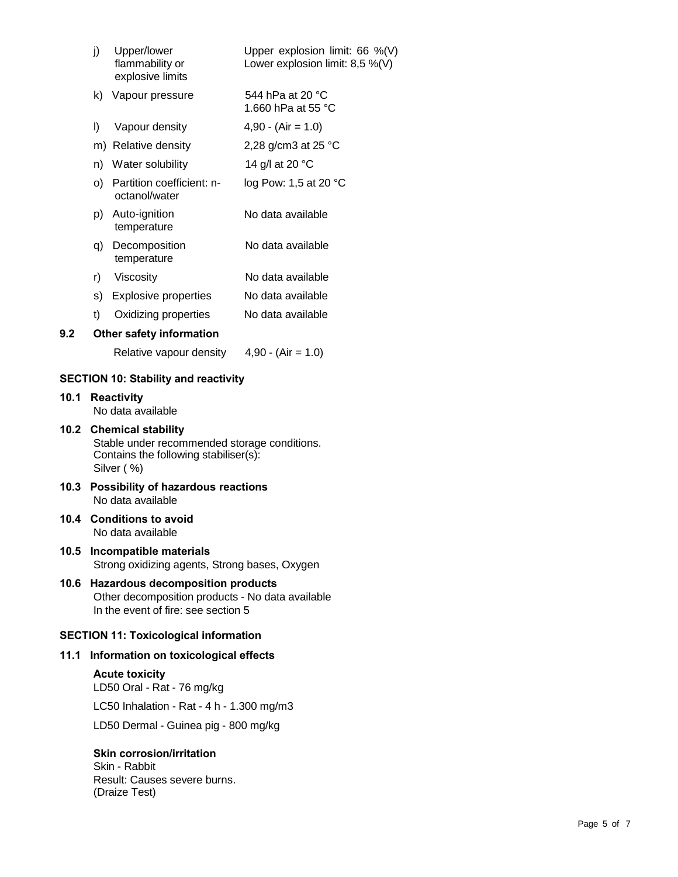|      | j)                                                                                                                                 | Upper/lower<br>flammability or<br>explosive limits | Upper explosion limit: $66 \%$ (V)<br>Lower explosion limit: $8,5\%$ (V) |
|------|------------------------------------------------------------------------------------------------------------------------------------|----------------------------------------------------|--------------------------------------------------------------------------|
|      | k)                                                                                                                                 | Vapour pressure                                    | 544 hPa at 20 °C<br>1.660 hPa at 55 °C                                   |
|      | I)                                                                                                                                 | Vapour density                                     | $4,90 - (Air = 1.0)$                                                     |
|      |                                                                                                                                    | m) Relative density                                | 2,28 g/cm3 at 25 °C                                                      |
|      |                                                                                                                                    | n) Water solubility                                | 14 g/l at 20 °C                                                          |
|      |                                                                                                                                    | o) Partition coefficient: n-<br>octanol/water      | log Pow: 1,5 at 20 °C                                                    |
|      |                                                                                                                                    | p) Auto-ignition<br>temperature                    | No data available                                                        |
|      | q)                                                                                                                                 | Decomposition<br>temperature                       | No data available                                                        |
|      | r)                                                                                                                                 | Viscosity                                          | No data available                                                        |
|      |                                                                                                                                    | s) Explosive properties                            | No data available                                                        |
|      | t)                                                                                                                                 | Oxidizing properties                               | No data available                                                        |
| 9.2  |                                                                                                                                    | Other safety information                           |                                                                          |
|      |                                                                                                                                    | Relative vapour density                            | $4,90 - (Air = 1.0)$                                                     |
|      |                                                                                                                                    | <b>SECTION 10: Stability and reactivity</b>        |                                                                          |
| 10.1 |                                                                                                                                    | <b>Reactivity</b><br>No data available             |                                                                          |
|      | 10.2 Chemical stability<br>Stable under recommended storage conditions.<br>Contains the following stabiliser(s):<br>Silver (%)     |                                                    |                                                                          |
| 10.3 | <b>Possibility of hazardous reactions</b><br>No data available                                                                     |                                                    |                                                                          |
|      | 10.4 Conditions to avoid<br>No data available                                                                                      |                                                    |                                                                          |
| 10.5 | Incompatible materials<br>Strong oxidizing agents, Strong bases, Oxygen                                                            |                                                    |                                                                          |
| 10.6 | <b>Hazardous decomposition products</b><br>Other decomposition products - No data available<br>In the event of fire: see section 5 |                                                    |                                                                          |
|      |                                                                                                                                    | <b>SECTION 11: Toxicological information</b>       |                                                                          |
| 11.1 |                                                                                                                                    | Information on toxicological effects               |                                                                          |
|      |                                                                                                                                    | <b>Acute toxicity</b>                              |                                                                          |
|      |                                                                                                                                    | LD50 Oral - Rat - 76 mg/kg                         |                                                                          |
|      |                                                                                                                                    | LC50 Inhalation - Rat - 4 h - 1.300 mg/m3          |                                                                          |
|      |                                                                                                                                    | LD50 Dermal - Guinea pig - 800 mg/kg               |                                                                          |

## **Skin corrosion/irritation**

Skin - Rabbit Result: Causes severe burns. (Draize Test)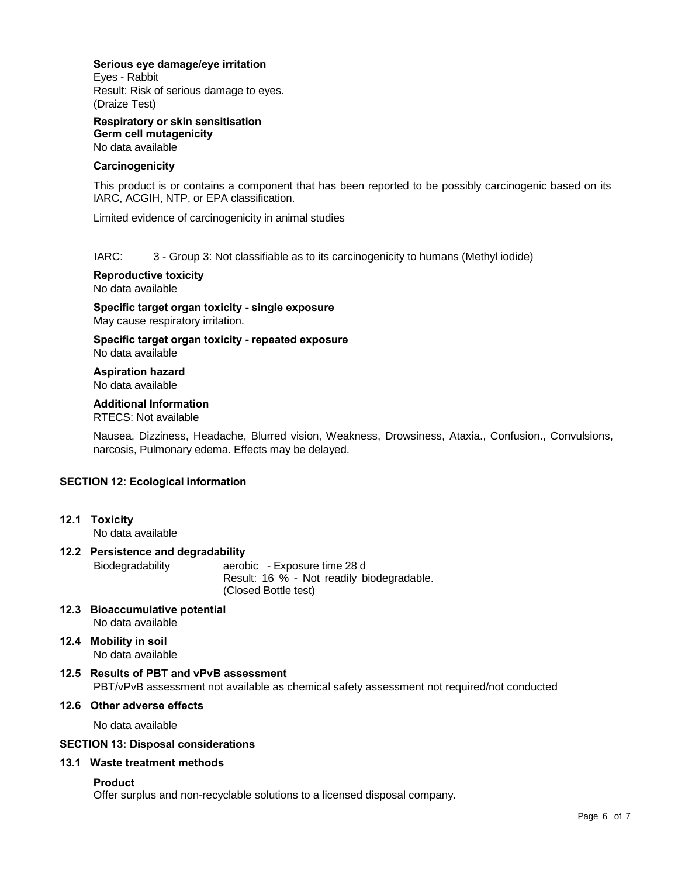#### **Serious eye damage/eye irritation**

Eyes - Rabbit Result: Risk of serious damage to eyes. (Draize Test)

**Respiratory or skin sensitisation Germ cell mutagenicity** No data available

#### **Carcinogenicity**

This product is or contains a component that has been reported to be possibly carcinogenic based on its IARC, ACGIH, NTP, or EPA classification.

Limited evidence of carcinogenicity in animal studies

#### IARC: 3 - Group 3: Not classifiable as to its carcinogenicity to humans (Methyl iodide)

**Reproductive toxicity**

No data available

**Specific target organ toxicity - single exposure** May cause respiratory irritation.

**Specific target organ toxicity - repeated exposure** No data available

# **Aspiration hazard**

No data available

## **Additional Information**

RTECS: Not available

Nausea, Dizziness, Headache, Blurred vision, Weakness, Drowsiness, Ataxia., Confusion., Convulsions, narcosis, Pulmonary edema. Effects may be delayed.

#### **SECTION 12: Ecological information**

**12.1 Toxicity**

No data available

#### **12.2 Persistence and degradability**

Biodegradability aerobic - Exposure time 28 d Result: 16 % - Not readily biodegradable. (Closed Bottle test)

- **12.3 Bioaccumulative potential** No data available
- **12.4 Mobility in soil** No data available
- **12.5 Results of PBT and vPvB assessment** PBT/vPvB assessment not available as chemical safety assessment not required/not conducted

## **12.6 Other adverse effects**

No data available

## **SECTION 13: Disposal considerations**

#### **13.1 Waste treatment methods**

#### **Product**

Offer surplus and non-recyclable solutions to a licensed disposal company.